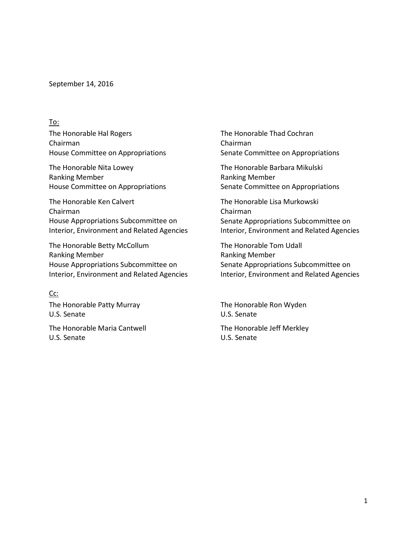September 14, 2016

## To:

The Honorable Hal Rogers Chairman House Committee on Appropriations

The Honorable Nita Lowey Ranking Member House Committee on Appropriations

The Honorable Ken Calvert Chairman House Appropriations Subcommittee on Interior, Environment and Related Agencies

The Honorable Betty McCollum Ranking Member House Appropriations Subcommittee on Interior, Environment and Related Agencies

## Cc:

The Honorable Patty Murray U.S. Senate

The Honorable Maria Cantwell U.S. Senate

The Honorable Thad Cochran Chairman Senate Committee on Appropriations

The Honorable Barbara Mikulski Ranking Member Senate Committee on Appropriations

The Honorable Lisa Murkowski Chairman Senate Appropriations Subcommittee on Interior, Environment and Related Agencies

The Honorable Tom Udall Ranking Member Senate Appropriations Subcommittee on Interior, Environment and Related Agencies

The Honorable Ron Wyden U.S. Senate

The Honorable Jeff Merkley U.S. Senate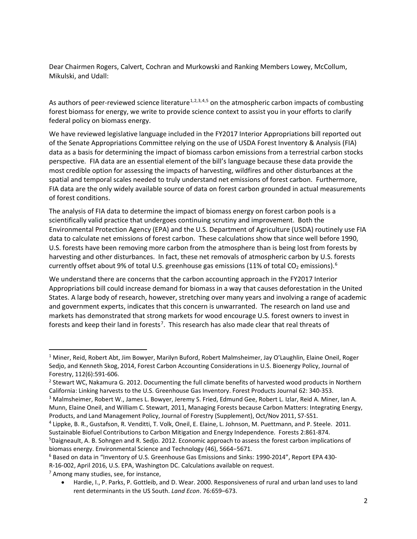Dear Chairmen Rogers, Calvert, Cochran and Murkowski and Ranking Members Lowey, McCollum, Mikulski, and Udall:

As authors of peer-reviewed science literature<sup>[1,](#page-1-0)[2,](#page-1-1)[3,](#page-1-2)[4,](#page-1-3)[5](#page-1-4)</sup> on the atmospheric carbon impacts of combusting forest biomass for energy, we write to provide science context to assist you in your efforts to clarify federal policy on biomass energy.

We have reviewed legislative language included in the FY2017 Interior Appropriations bill reported out of the Senate Appropriations Committee relying on the use of USDA Forest Inventory & Analysis (FIA) data as a basis for determining the impact of biomass carbon emissions from a terrestrial carbon stocks perspective. FIA data are an essential element of the bill's language because these data provide the most credible option for assessing the impacts of harvesting, wildfires and other disturbances at the spatial and temporal scales needed to truly understand net emissions of forest carbon. Furthermore, FIA data are the only widely available source of data on forest carbon grounded in actual measurements of forest conditions.

The analysis of FIA data to determine the impact of biomass energy on forest carbon pools is a scientifically valid practice that undergoes continuing scrutiny and improvement. Both the Environmental Protection Agency (EPA) and the U.S. Department of Agriculture (USDA) routinely use FIA data to calculate net emissions of forest carbon. These calculations show that since well before 1990, U.S. forests have been removing more carbon from the atmosphere than is being lost from forests by harvesting and other disturbances. In fact, these net removals of atmospheric carbon by U.S. forests currently offset about 9% of total U.S. greenhouse gas emissions (11% of total CO<sub>2</sub> emissions).<sup>[6](#page-1-5)</sup>

We understand there are concerns that the carbon accounting approach in the FY2017 Interior Appropriations bill could increase demand for biomass in a way that causes deforestation in the United States. A large body of research, however, stretching over many years and involving a range of academic and government experts, indicates that this concern is unwarranted. The research on land use and markets has demonstrated that strong markets for wood encourage U.S. forest owners to invest in forests and keep their land in forests<sup>[7](#page-1-6)</sup>. This research has also made clear that real threats of

<span id="page-1-6"></span> $<sup>7</sup>$  Among many studies, see, for instance,</sup>

<span id="page-1-0"></span> <sup>1</sup> Miner, Reid, Robert Abt, Jim Bowyer, Marilyn Buford, Robert Malmsheimer, Jay O'Laughlin, Elaine Oneil, Roger Sedjo, and Kenneth Skog, 2014, Forest Carbon Accounting Considerations in U.S. Bioenergy Policy, Journal of Forestry, 112(6):591-606.

<span id="page-1-1"></span><sup>&</sup>lt;sup>2</sup> Stewart WC, Nakamura G. 2012. Documenting the full climate benefits of harvested wood products in Northern California: Linking harvests to the U.S. Greenhouse Gas Inventory. Forest Products Journal 62: 340-353.

<span id="page-1-2"></span><sup>3</sup> Malmsheimer, Robert W., James L. Bowyer, Jeremy S. Fried, Edmund Gee, Robert L. Izlar, Reid A. Miner, Ian A. Munn, Elaine Oneil, and William C. Stewart, 2011, Managing Forests because Carbon Matters: Integrating Energy, Products, and Land Management Policy, Journal of Forestry (Supplement), Oct/Nov 2011, S7-S51.<br><sup>4</sup> Lippke, B. R., Gustafson, R. Venditti, T. Volk, Oneil, E. Elaine, L. Johnson, M. Puettmann, and P. Steele. 2011.

<span id="page-1-3"></span>Sustainable Biofuel Contributions to Carbon Mitigation and Energy Independence. Forests 2:861-874.

<span id="page-1-4"></span><sup>5</sup> Daigneault, A. B. Sohngen and R. Sedjo. 2012. Economic approach to assess the forest carbon implications of biomass energy. Environmental Science and Technology (46), 5664−5671.

<span id="page-1-5"></span><sup>6</sup> Based on data in "Inventory of U.S. Greenhouse Gas Emissions and Sinks: 1990-2014", Report EPA 430- R-16-002, April 2016, U.S. EPA, Washington DC. Calculations available on request.

<sup>•</sup> Hardie, I., P. Parks, P. Gottleib, and D. Wear. 2000. Responsiveness of rural and urban land uses to land rent determinants in the US South. *Land Econ*. 76:659–673.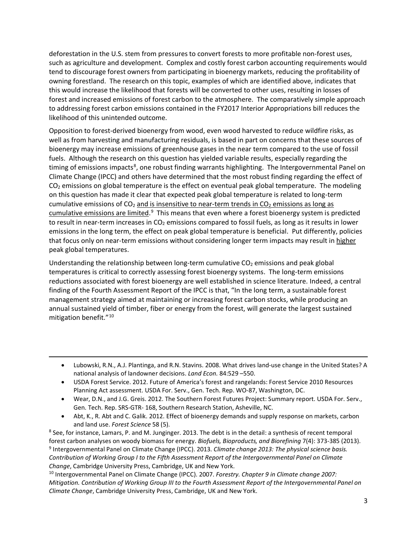deforestation in the U.S. stem from pressures to convert forests to more profitable non-forest uses, such as agriculture and development. Complex and costly forest carbon accounting requirements would tend to discourage forest owners from participating in bioenergy markets, reducing the profitability of owning forestland. The research on this topic, examples of which are identified above, indicates that this would increase the likelihood that forests will be converted to other uses, resulting in losses of forest and increased emissions of forest carbon to the atmosphere. The comparatively simple approach to addressing forest carbon emissions contained in the FY2017 Interior Appropriations bill reduces the likelihood of this unintended outcome.

Opposition to forest-derived bioenergy from wood, even wood harvested to reduce wildfire risks, as well as from harvesting and manufacturing residuals, is based in part on concerns that these sources of bioenergy may increase emissions of greenhouse gases in the near term compared to the use of fossil fuels. Although the research on this question has yielded variable results, especially regarding the timing of emissions impacts<sup>[8](#page-2-0)</sup>, one robust finding warrants highlighting. The Intergovernmental Panel on Climate Change (IPCC) and others have determined that the most robust finding regarding the effect of  $CO<sub>2</sub>$  emissions on global temperature is the effect on eventual peak global temperature. The modeling on this question has made it clear that expected peak global temperature is related to long-term cumulative emissions of  $CO<sub>2</sub>$  and is insensitive to near-term trends in  $CO<sub>2</sub>$  emissions as long as cumulative emissions are limited.<sup>[9](#page-2-1)</sup> This means that even where a forest bioenergy system is predicted to result in near-term increases in  $CO<sub>2</sub>$  emissions compared to fossil fuels, as long as it results in lower emissions in the long term, the effect on peak global temperature is beneficial. Put differently, policies that focus only on near-term emissions without considering longer term impacts may result in higher peak global temperatures.

Understanding the relationship between long-term cumulative  $CO<sub>2</sub>$  emissions and peak global temperatures is critical to correctly assessing forest bioenergy systems. The long-term emissions reductions associated with forest bioenergy are well established in science literature. Indeed, a central finding of the Fourth Assessment Report of the IPCC is that, "In the long term, a sustainable forest management strategy aimed at maintaining or increasing forest carbon stocks, while producing an annual sustained yield of timber, fiber or energy from the forest, will generate the largest sustained mitigation benefit."[10](#page-2-2)

- Lubowski, R.N., A.J. Plantinga, and R.N. Stavins. 2008. What drives land-use change in the United States? A national analysis of landowner decisions. *Land Econ.* 84:529 –550.
- USDA Forest Service. 2012. Future of America's forest and rangelands: Forest Service 2010 Resources Planning Act assessment. USDA For. Serv., Gen. Tech. Rep. WO-87, Washington, DC.

 $\overline{a}$ 

- Wear, D.N., and J.G. Greis. 2012. The Southern Forest Futures Project: Summary report. USDA For. Serv., Gen. Tech. Rep. SRS-GTR- 168, Southern Research Station, Asheville, NC.
- Abt, K., R. Abt and C. Galik. 2012. Effect of bioenergy demands and supply response on markets, carbon

<span id="page-2-1"></span><span id="page-2-0"></span>and land use. *Forest Science* 58 (5). 8 See, for instance, Lamars, P. and M. Junginger. 2013. The debt is in the detail: a synthesis of recent temporal forest carbon analyses on woody biomass for energy. *Biofuels, Bioproducts, and Biorefining* 7(4): 373-385 (2013). <sup>9</sup> Intergovernmental Panel on Climate Change (IPCC). 2013. *Climate change 2013: The physical science basis. Contribution of Working Group I to the Fifth Assessment Report of the Intergovernmental Panel on Climate Change*, Cambridge University Press, Cambridge, UK and New York.

<span id="page-2-2"></span><sup>10</sup> Intergovernmental Panel on Climate Change (IPCC). 2007. *Forestry. Chapter 9 in Climate change 2007: Mitigation. Contribution of Working Group III to the Fourth Assessment Report of the Intergovernmental Panel on Climate Change*, Cambridge University Press, Cambridge, UK and New York.